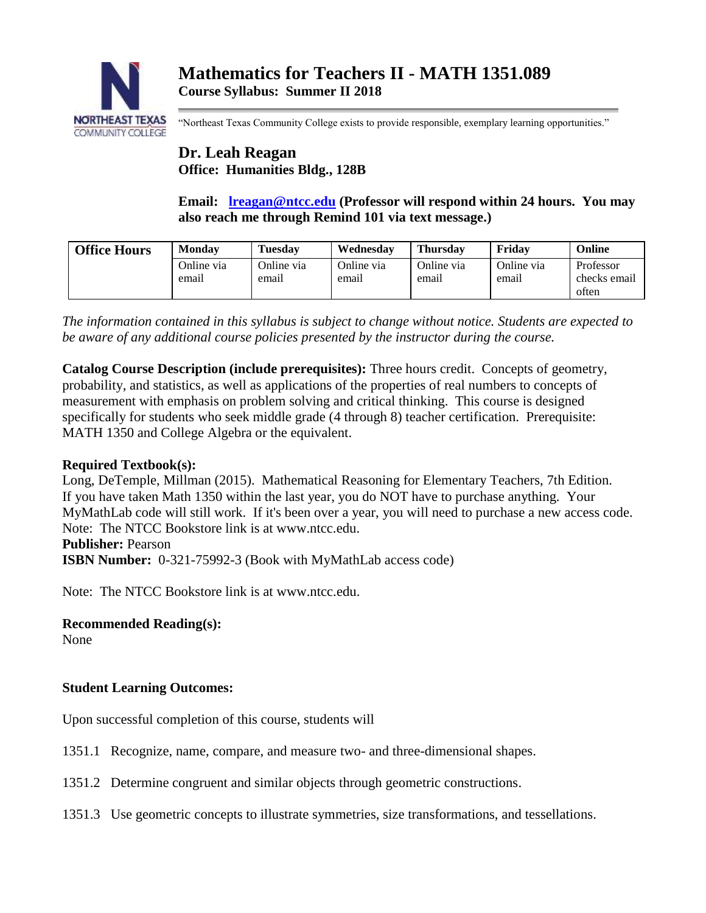

"Northeast Texas Community College exists to provide responsible, exemplary learning opportunities."

# **Dr. Leah Reagan Office: Humanities Bldg., 128B**

**Email: [lreagan@ntcc.edu](mailto:lreagan@ntcc.edu) (Professor will respond within 24 hours. You may also reach me through Remind 101 via text message.)**

| <b>Office Hours</b> | Mondav              | <b>Tuesday</b>      | Wednesdav           | <b>Thursday</b>     | Fridav              | Online                             |
|---------------------|---------------------|---------------------|---------------------|---------------------|---------------------|------------------------------------|
|                     | Online via<br>email | Online via<br>email | Online via<br>email | Online via<br>email | Online via<br>email | Professor<br>checks email<br>often |

*The information contained in this syllabus is subject to change without notice. Students are expected to be aware of any additional course policies presented by the instructor during the course.*

**Catalog Course Description (include prerequisites):** Three hours credit. Concepts of geometry, probability, and statistics, as well as applications of the properties of real numbers to concepts of measurement with emphasis on problem solving and critical thinking. This course is designed specifically for students who seek middle grade (4 through 8) teacher certification. Prerequisite: MATH 1350 and College Algebra or the equivalent.

## **Required Textbook(s):**

Long, DeTemple, Millman (2015). Mathematical Reasoning for Elementary Teachers, 7th Edition. If you have taken Math 1350 within the last year, you do NOT have to purchase anything. Your MyMathLab code will still work. If it's been over a year, you will need to purchase a new access code. Note: The NTCC Bookstore link is at www.ntcc.edu.

## **Publisher:** Pearson

**ISBN Number:** 0-321-75992-3 (Book with MyMathLab access code)

Note: The NTCC Bookstore link is at www.ntcc.edu.

# **Recommended Reading(s):**

None

## **Student Learning Outcomes:**

Upon successful completion of this course, students will

- 1351.1 Recognize, name, compare, and measure two- and three-dimensional shapes.
- 1351.2 Determine congruent and similar objects through geometric constructions.
- 1351.3 Use geometric concepts to illustrate symmetries, size transformations, and tessellations.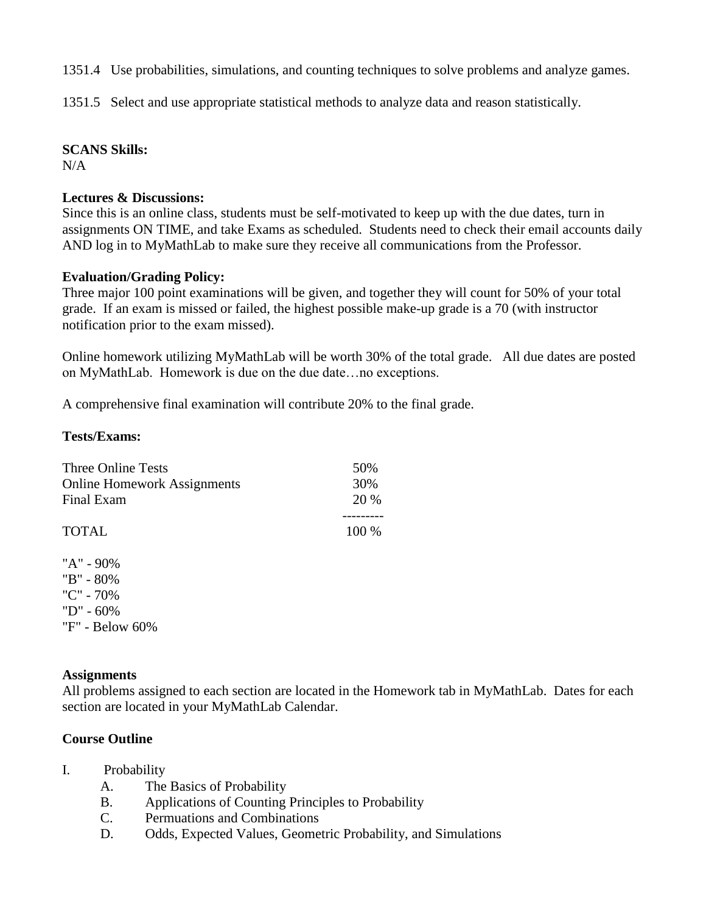1351.4 Use probabilities, simulations, and counting techniques to solve problems and analyze games.

1351.5 Select and use appropriate statistical methods to analyze data and reason statistically.

#### **SCANS Skills:**

 $N/A$ 

#### **Lectures & Discussions:**

Since this is an online class, students must be self-motivated to keep up with the due dates, turn in assignments ON TIME, and take Exams as scheduled. Students need to check their email accounts daily AND log in to MyMathLab to make sure they receive all communications from the Professor.

#### **Evaluation/Grading Policy:**

Three major 100 point examinations will be given, and together they will count for 50% of your total grade. If an exam is missed or failed, the highest possible make-up grade is a 70 (with instructor notification prior to the exam missed).

Online homework utilizing MyMathLab will be worth 30% of the total grade. All due dates are posted on MyMathLab. Homework is due on the due date…no exceptions.

A comprehensive final examination will contribute 20% to the final grade.

#### **Tests/Exams:**

| <b>Three Online Tests</b><br><b>Online Homework Assignments</b><br>Final Exam | 50%<br>30%<br>20 % |
|-------------------------------------------------------------------------------|--------------------|
| <b>TOTAL</b>                                                                  | 100 %              |
| "A" - 90%<br>"B" - 80%<br>"C" - $70\%$<br>$"D" - 60\%$                        |                    |

"F" - Below 60%

## **Assignments**

All problems assigned to each section are located in the Homework tab in MyMathLab. Dates for each section are located in your MyMathLab Calendar.

## **Course Outline**

- I. Probability
	- A. The Basics of Probability
	- B. Applications of Counting Principles to Probability
	- C. Permuations and Combinations
	- D. Odds, Expected Values, Geometric Probability, and Simulations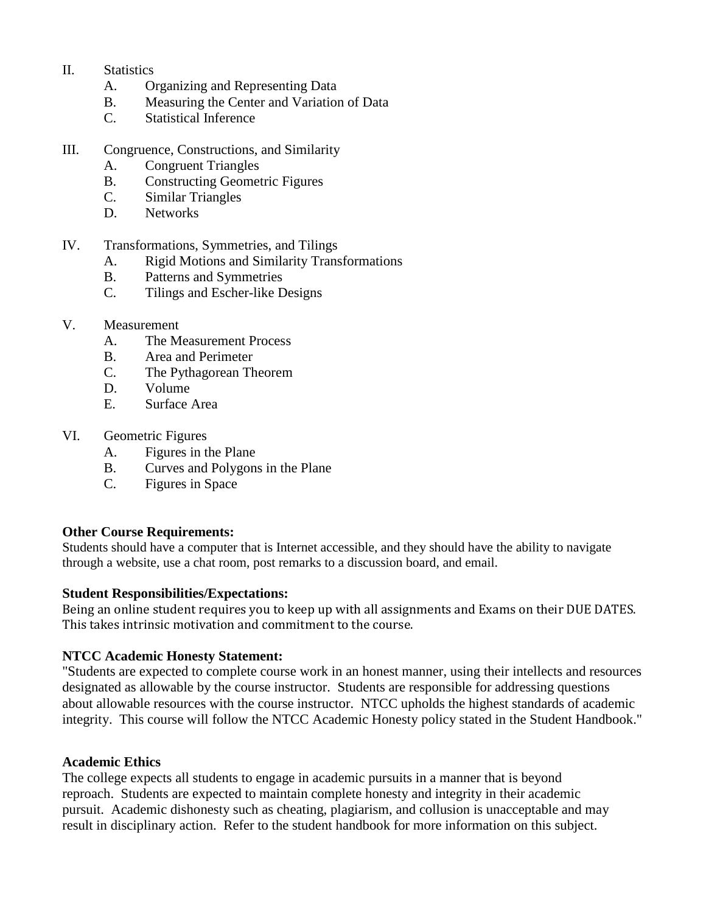- II. Statistics
	- A. Organizing and Representing Data
	- B. Measuring the Center and Variation of Data
	- C. Statistical Inference
- III. Congruence, Constructions, and Similarity
	- A. Congruent Triangles
	- B. Constructing Geometric Figures
	- C. Similar Triangles
	- D. Networks
- IV. Transformations, Symmetries, and Tilings
	- A. Rigid Motions and Similarity Transformations
	- B. Patterns and Symmetries
	- C. Tilings and Escher-like Designs
- V. Measurement
	- A. The Measurement Process
	- B. Area and Perimeter
	- C. The Pythagorean Theorem
	- D. Volume
	- E. Surface Area
- VI. Geometric Figures
	- A. Figures in the Plane
	- B. Curves and Polygons in the Plane
	- C. Figures in Space

#### **Other Course Requirements:**

Students should have a computer that is Internet accessible, and they should have the ability to navigate through a website, use a chat room, post remarks to a discussion board, and email.

#### **Student Responsibilities/Expectations:**

Being an online student requires you to keep up with all assignments and Exams on their DUE DATES. This takes intrinsic motivation and commitment to the course.

## **NTCC Academic Honesty Statement:**

"Students are expected to complete course work in an honest manner, using their intellects and resources designated as allowable by the course instructor. Students are responsible for addressing questions about allowable resources with the course instructor. NTCC upholds the highest standards of academic integrity. This course will follow the NTCC Academic Honesty policy stated in the Student Handbook."

#### **Academic Ethics**

The college expects all students to engage in academic pursuits in a manner that is beyond reproach. Students are expected to maintain complete honesty and integrity in their academic pursuit. Academic dishonesty such as cheating, plagiarism, and collusion is unacceptable and may result in disciplinary action. Refer to the student handbook for more information on this subject.